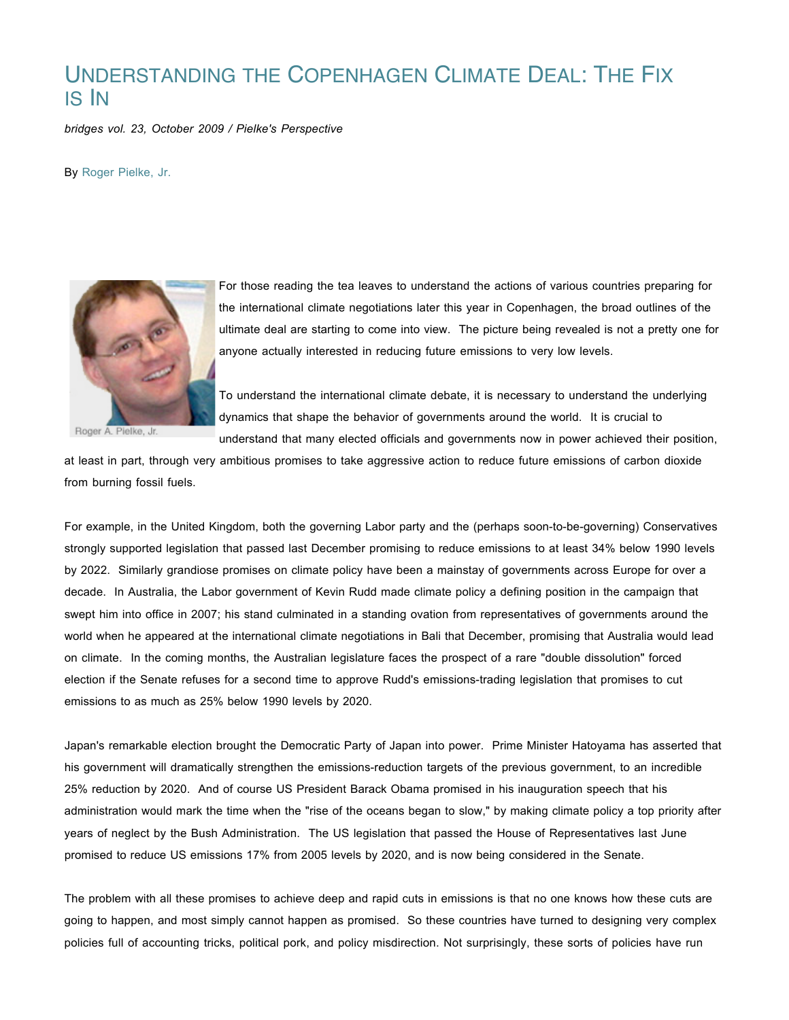## UNDERSTANDING THE COPENHAGEN CLIMATE DEAL: THE FIX IS IN

*bridges vol. 23, October 2009 / Pielke's Perspective*

By Roger Pielke, Jr.



For those reading the tea leaves to understand the actions of various countries preparing for the international climate negotiations later this year in Copenhagen, the broad outlines of the ultimate deal are starting to come into view. The picture being revealed is not a pretty one for anyone actually interested in reducing future emissions to very low levels.

To understand the international climate debate, it is necessary to understand the underlying dynamics that shape the behavior of governments around the world. It is crucial to understand that many elected officials and governments now in power achieved their position,

at least in part, through very ambitious promises to take aggressive action to reduce future emissions of carbon dioxide from burning fossil fuels.

For example, in the United Kingdom, both the governing Labor party and the (perhaps soon-to-be-governing) Conservatives strongly supported legislation that passed last December promising to reduce emissions to at least 34% below 1990 levels by 2022. Similarly grandiose promises on climate policy have been a mainstay of governments across Europe for over a decade. In Australia, the Labor government of Kevin Rudd made climate policy a defining position in the campaign that swept him into office in 2007; his stand culminated in a standing ovation from representatives of governments around the world when he appeared at the international climate negotiations in Bali that December, promising that Australia would lead on climate. In the coming months, the Australian legislature faces the prospect of a rare "double dissolution" forced election if the Senate refuses for a second time to approve Rudd's emissions-trading legislation that promises to cut emissions to as much as 25% below 1990 levels by 2020.

Japan's remarkable election brought the Democratic Party of Japan into power. Prime Minister Hatoyama has asserted that his government will dramatically strengthen the emissions-reduction targets of the previous government, to an incredible 25% reduction by 2020. And of course US President Barack Obama promised in his inauguration speech that his administration would mark the time when the "rise of the oceans began to slow," by making climate policy a top priority after years of neglect by the Bush Administration. The US legislation that passed the House of Representatives last June promised to reduce US emissions 17% from 2005 levels by 2020, and is now being considered in the Senate.

The problem with all these promises to achieve deep and rapid cuts in emissions is that no one knows how these cuts are going to happen, and most simply cannot happen as promised. So these countries have turned to designing very complex policies full of accounting tricks, political pork, and policy misdirection. Not surprisingly, these sorts of policies have run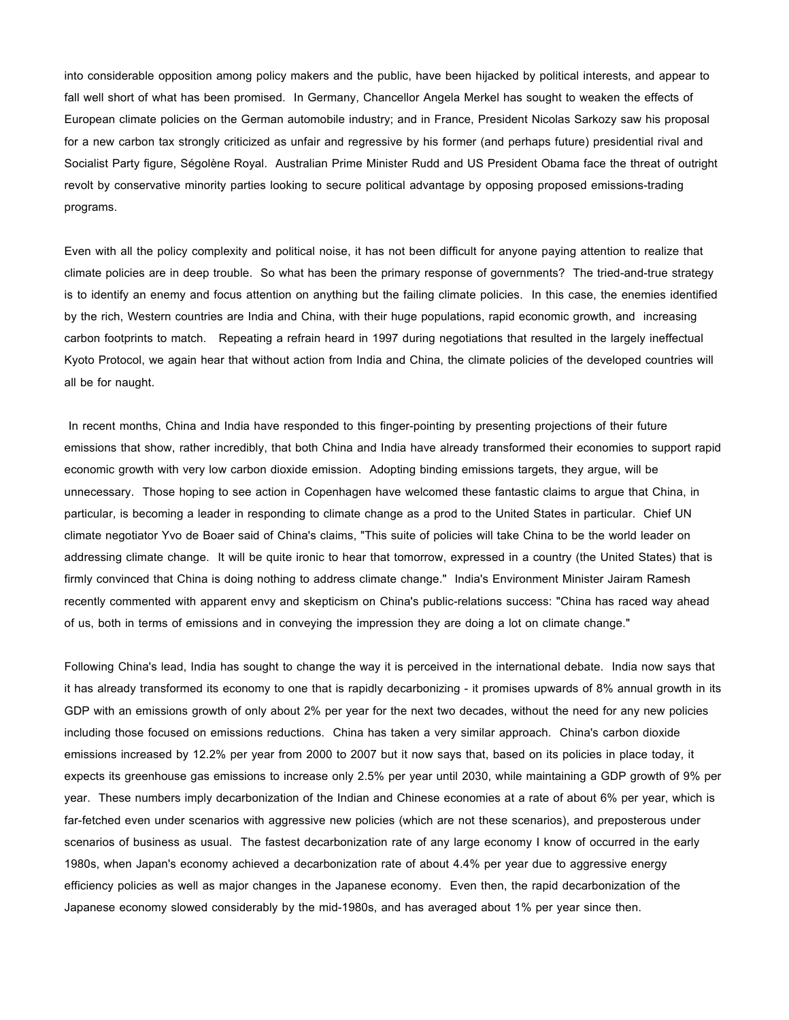into considerable opposition among policy makers and the public, have been hijacked by political interests, and appear to fall well short of what has been promised. In Germany, Chancellor Angela Merkel has sought to weaken the effects of European climate policies on the German automobile industry; and in France, President Nicolas Sarkozy saw his proposal for a new carbon tax strongly criticized as unfair and regressive by his former (and perhaps future) presidential rival and Socialist Party figure, Ségolène Royal. Australian Prime Minister Rudd and US President Obama face the threat of outright revolt by conservative minority parties looking to secure political advantage by opposing proposed emissions-trading programs.

Even with all the policy complexity and political noise, it has not been difficult for anyone paying attention to realize that climate policies are in deep trouble. So what has been the primary response of governments? The tried-and-true strategy is to identify an enemy and focus attention on anything but the failing climate policies. In this case, the enemies identified by the rich, Western countries are India and China, with their huge populations, rapid economic growth, and increasing carbon footprints to match. Repeating a refrain heard in 1997 during negotiations that resulted in the largely ineffectual Kyoto Protocol, we again hear that without action from India and China, the climate policies of the developed countries will all be for naught.

In recent months, China and India have responded to this finger-pointing by presenting projections of their future emissions that show, rather incredibly, that both China and India have already transformed their economies to support rapid economic growth with very low carbon dioxide emission. Adopting binding emissions targets, they argue, will be unnecessary. Those hoping to see action in Copenhagen have welcomed these fantastic claims to argue that China, in particular, is becoming a leader in responding to climate change as a prod to the United States in particular. Chief UN climate negotiator Yvo de Boaer said of China's claims, "This suite of policies will take China to be the world leader on addressing climate change. It will be quite ironic to hear that tomorrow, expressed in a country (the United States) that is firmly convinced that China is doing nothing to address climate change." India's Environment Minister Jairam Ramesh recently commented with apparent envy and skepticism on China's public-relations success: "China has raced way ahead of us, both in terms of emissions and in conveying the impression they are doing a lot on climate change."

Following China's lead, India has sought to change the way it is perceived in the international debate. India now says that it has already transformed its economy to one that is rapidly decarbonizing - it promises upwards of 8% annual growth in its GDP with an emissions growth of only about 2% per year for the next two decades, without the need for any new policies including those focused on emissions reductions. China has taken a very similar approach. China's carbon dioxide emissions increased by 12.2% per year from 2000 to 2007 but it now says that, based on its policies in place today, it expects its greenhouse gas emissions to increase only 2.5% per year until 2030, while maintaining a GDP growth of 9% per year. These numbers imply decarbonization of the Indian and Chinese economies at a rate of about 6% per year, which is far-fetched even under scenarios with aggressive new policies (which are not these scenarios), and preposterous under scenarios of business as usual. The fastest decarbonization rate of any large economy I know of occurred in the early 1980s, when Japan's economy achieved a decarbonization rate of about 4.4% per year due to aggressive energy efficiency policies as well as major changes in the Japanese economy. Even then, the rapid decarbonization of the Japanese economy slowed considerably by the mid-1980s, and has averaged about 1% per year since then.